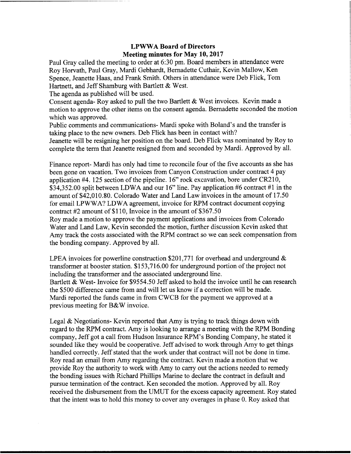## LPWWA Board of Directors Meeting minutes for May 10, 2017

Paul Gray called the meeting to order at 6:30 pm. Board members in attendance were Roy Horvath, Paul Gray, Mardi Gebhardt, Bernadette Cuthair, Kevin Mallow, Ken Spence, Jeanette Haas, and Frank Smith. Others in attendance were Deb Flick, Tom Hartnett, and Jeff Shamburg with Bartlett & West.

The agenda as published will be used.

Consent agenda- Roy asked to pull the two Bartlett & West invoices. Kevin made a motion to approve the other items on the consent agenda. Bernadette seconded the motion which was approved.

Public comments and communications- Mardi spoke with Boland's and the transfer is taking place to the new owners. Deb Flick has been in contact with?

Jeanette will be resigning her position on the board. Deb Flick was nominated by Roy to complete the term that Jeanette resigned from and seconded by Mardi. Approved by all.

Finance report- Mardi has only had time to reconcile four of the five accounts as she has been gone on vacation. Two invoices from Canyon Construction under contract 4 pay application #4. 125 section of the pipeline. 16" rock excavation, bore under CR210, \$34,352.00 split between LDWA and our 16" line. Pay application #6 contract #1 in the amount of \$42,010.80. Colorado Water and Land Law invoices in the amount of 17.50 for email LPWWA? LDWA agreement, invoice for RPM contract document copying contract #2 amount of \$110, Invoice in the amount of \$367.50 Roy made a motion to approve the payment applications and invoices from Colorado

Water and Land Law, Kevin seconded the motion, further discussion Kevin asked that Amy track the costs associated with the RPM contract so we can seek compensation from the bonding company. Approved by all.

LPEA invoices for powerline construction \$201,771 for overhead and underground & transformer at booster station. \$153,716.00 for underground portion of the project not including the transformer and the associated underground line. Bartlett & West- Invoice for \$9554.50 Jeff asked to hold the invoice until he can research the \$500 difference came from and will let us know if <sup>a</sup> correction will be made. Mardi reported the funds came in from CWCB for the payment we approved at a previous meeting for B&W invoice.

Legal & Negotiations- Kevin reported that Amy is trying to track things down with regard to the RPM contract. Amy is looking to arrange a meeting with the RPM Bonding company, Jeff got a call from Hudson Insurance RPM's Bonding Company, he stated it sounded like they would be cooperative. Jeff advised to work through Amy to get things handled correctly. Jeff stated that the work under that contract will not be done in time. Roy read an email from Amy regarding the contract. Kevin made a motion that we provide Roy the authority to work with Amy to carry out the actions needed to remedy the bonding issues with Richard Phillips Marine to declare the contract in default and pursue termination of the contract. Ken seconded the motion. Approved by all. Roy received the disbursement from the UMUT for the excess capacity agreement. Roy stated that the intent was to hold this money to cover any overages in phase 0. Roy asked that